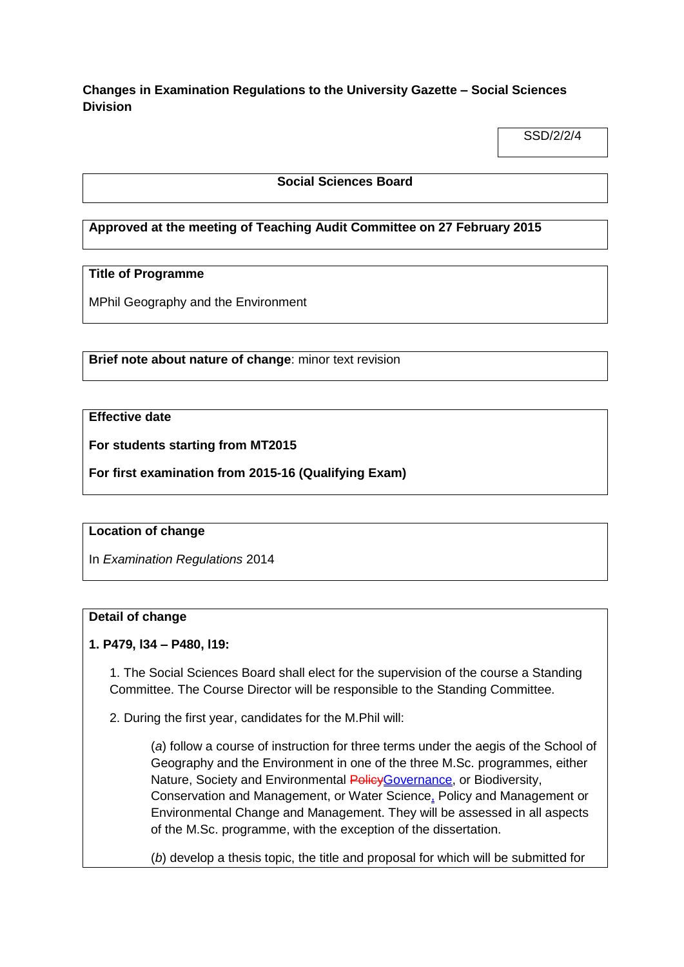**Changes in Examination Regulations to the University Gazette – Social Sciences Division**

SSD/2/2/4

#### **Social Sciences Board**

## **Approved at the meeting of Teaching Audit Committee on 27 February 2015**

# **Title of Programme**

MPhil Geography and the Environment

**Brief note about nature of change**: minor text revision

# **Effective date**

**For students starting from MT2015**

**For first examination from 2015-16 (Qualifying Exam)**

### **Location of change**

In *Examination Regulations* 2014

#### **Detail of change**

### **1. P479, l34 – P480, l19:**

1. The Social Sciences Board shall elect for the supervision of the course a Standing Committee. The Course Director will be responsible to the Standing Committee.

2. During the first year, candidates for the M.Phil will:

(*a*) follow a course of instruction for three terms under the aegis of the School of Geography and the Environment in one of the three M.Sc. programmes, either Nature, Society and Environmental Policy Governance, or Biodiversity, Conservation and Management, or Water Science, Policy and Management or Environmental Change and Management. They will be assessed in all aspects of the M.Sc. programme, with the exception of the dissertation.

(*b*) develop a thesis topic, the title and proposal for which will be submitted for